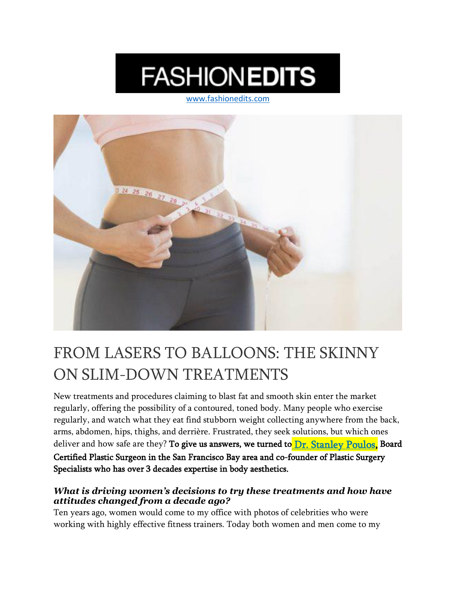# **FASHIONEDITS**

[www.fashionedits.com](http://www.fashionedits.com/)



## FROM LASERS TO BALLOONS: THE SKINNY ON SLIM-DOWN TREATMENTS

New treatments and procedures claiming to blast fat and smooth skin enter the market regularly, offering the possibility of a contoured, toned body. Many people who exercise regularly, and watch what they eat find stubborn weight collecting anywhere from the back, arms, abdomen, hips, thighs, and derrière. Frustrated, they seek solutions, but which ones deliver and how safe are they? To give us answers, we turned to [Dr. Stanley Poulos,](https://www.psspecialists.com/about/dr-poulos/) Board Certified Plastic Surgeon in the San Francisco Bay area and co-founder of Plastic Surgery Specialists who has over 3 decades expertise in body aesthetics.

#### *What is driving women's decisions to try these treatments and how have attitudes changed from a decade ago?*

Ten years ago, women would come to my office with photos of celebrities who were working with highly effective fitness trainers. Today both women and men come to my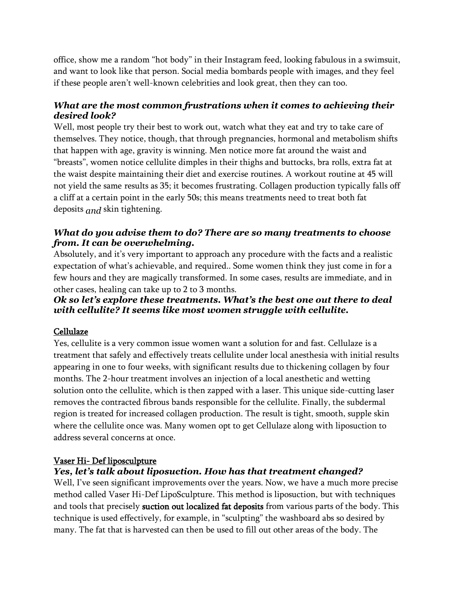office, show me a random "hot body" in their Instagram feed, looking fabulous in a swimsuit, and want to look like that person. Social media bombards people with images, and they feel if these people aren't well-known celebrities and look great, then they can too.

#### *What are the most common frustrations when it comes to achieving their desired look?*

Well, most people try their best to work out, watch what they eat and try to take care of themselves. They notice, though, that through pregnancies, hormonal and metabolism shifts that happen with age, gravity is winning. Men notice more fat around the waist and "breasts", women notice cellulite dimples in their thighs and buttocks, bra rolls, extra fat at the waist despite maintaining their diet and exercise routines. A workout routine at 45 will not yield the same results as 35; it becomes frustrating. Collagen production typically falls off a cliff at a certain point in the early 50s; this means treatments need to treat both fat deposits *and* skin tightening.

#### *What do you advise them to do? There are so many treatments to choose from. It can be overwhelming.*

Absolutely, and it's very important to approach any procedure with the facts and a realistic expectation of what's achievable, and required.. Some women think they just come in for a few hours and they are magically transformed. In some cases, results are immediate, and in other cases, healing can take up to 2 to 3 months.

#### *Ok so let's explore these treatments. What's the best one out there to deal with cellulite? It seems like most women struggle with cellulite.*

#### Cellulaze

Yes, cellulite is a very common issue women want a solution for and fast. Cellulaze is a treatment that safely and effectively treats cellulite under local anesthesia with initial results appearing in one to four weeks, with significant results due to thickening collagen by four months. The 2-hour treatment involves an injection of a local anesthetic and wetting solution onto the cellulite, which is then zapped with a laser. This unique side-cutting laser removes the contracted fibrous bands responsible for the cellulite. Finally, the subdermal region is treated for increased collagen production. The result is tight, smooth, supple skin where the cellulite once was. Many women opt to get Cellulaze along with liposuction to address several concerns at once.

#### Vaser Hi- Def liposculpture

### *Yes, let's talk about liposuction. How has that treatment changed?*

Well, I've seen significant improvements over the years. Now, we have a much more precise method called Vaser Hi-Def LipoSculpture. This method is liposuction, but with techniques and tools that precisely **suction out localized fat deposits** from various parts of the body. This technique is used effectively, for example, in "sculpting" the washboard abs so desired by many. The fat that is harvested can then be used to fill out other areas of the body. The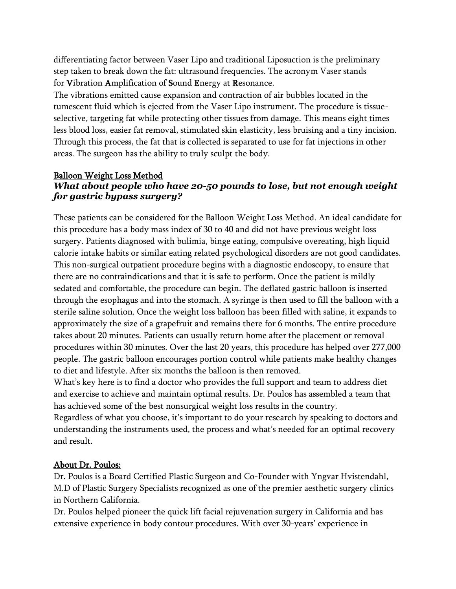differentiating factor between Vaser Lipo and traditional Liposuction is the preliminary step taken to break down the fat: ultrasound frequencies. The acronym Vaser stands for Vibration Amplification of Sound Energy at Resonance.

The vibrations emitted cause expansion and contraction of air bubbles located in the tumescent fluid which is ejected from the Vaser Lipo instrument. The procedure is tissueselective, targeting fat while protecting other tissues from damage. This means eight times less blood loss, easier fat removal, stimulated skin elasticity, less bruising and a tiny incision. Through this process, the fat that is collected is separated to use for fat injections in other areas. The surgeon has the ability to truly sculpt the body.

#### Balloon Weight Loss Method *What about people who have 20-50 pounds to lose, but not enough weight for gastric bypass surgery?*

These patients can be considered for the Balloon Weight Loss Method. An ideal candidate for this procedure has a body mass index of 30 to 40 and did not have previous weight loss surgery. Patients diagnosed with bulimia, binge eating, compulsive overeating, high liquid calorie intake habits or similar eating related psychological disorders are not good candidates. This non-surgical outpatient procedure begins with a diagnostic endoscopy, to ensure that there are no contraindications and that it is safe to perform. Once the patient is mildly sedated and comfortable, the procedure can begin. The deflated gastric balloon is inserted through the esophagus and into the stomach. A syringe is then used to fill the balloon with a sterile saline solution. Once the weight loss balloon has been filled with saline, it expands to approximately the size of a grapefruit and remains there for 6 months. The entire procedure takes about 20 minutes. Patients can usually return home after the placement or removal procedures within 30 minutes. Over the last 20 years, this procedure has helped over 277,000 people. The gastric balloon encourages portion control while patients make healthy changes to diet and lifestyle. After six months the balloon is then removed.

What's key here is to find a doctor who provides the full support and team to address diet and exercise to achieve and maintain optimal results. Dr. Poulos has assembled a team that has achieved some of the best nonsurgical weight loss results in the country.

Regardless of what you choose, it's important to do your research by speaking to doctors and understanding the instruments used, the process and what's needed for an optimal recovery and result.

#### About Dr. Poulos:

Dr. Poulos is a Board Certified Plastic Surgeon and Co-Founder with Yngvar Hvistendahl, M.D of Plastic Surgery Specialists recognized as one of the premier aesthetic surgery clinics in Northern California.

Dr. Poulos helped pioneer the quick lift facial rejuvenation surgery in California and has extensive experience in body contour procedures. With over 30-years' experience in